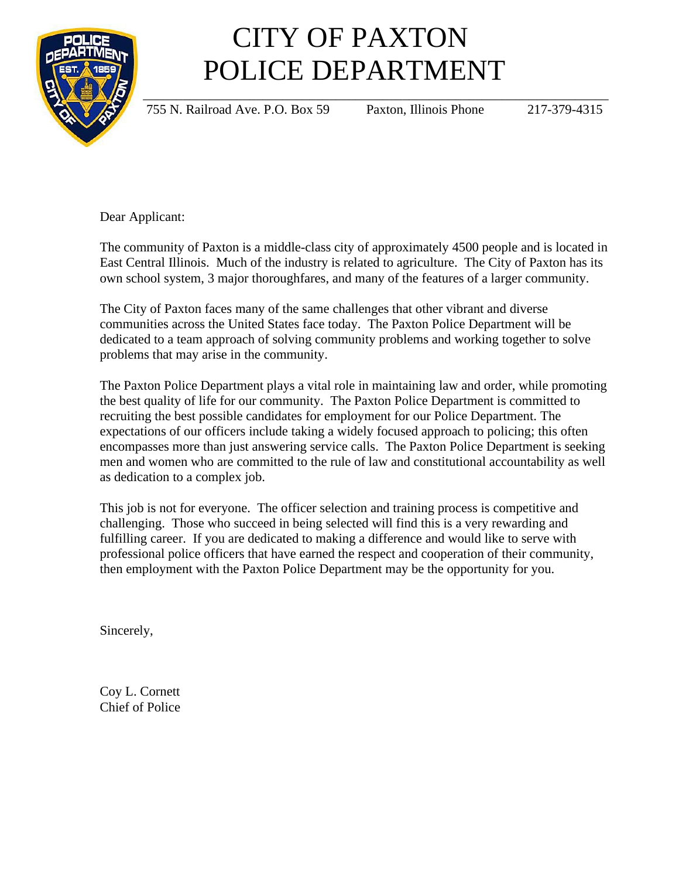

## CITY OF PAXTON POLICE DEPARTMENT

755 N. Railroad Ave. P.O. Box 59 Paxton, Illinois Phone 217-379-4315

Dear Applicant:

The community of Paxton is a middle-class city of approximately 4500 people and is located in East Central Illinois. Much of the industry is related to agriculture. The City of Paxton has its own school system, 3 major thoroughfares, and many of the features of a larger community.

The City of Paxton faces many of the same challenges that other vibrant and diverse communities across the United States face today. The Paxton Police Department will be dedicated to a team approach of solving community problems and working together to solve problems that may arise in the community.

The Paxton Police Department plays a vital role in maintaining law and order, while promoting the best quality of life for our community. The Paxton Police Department is committed to recruiting the best possible candidates for employment for our Police Department. The expectations of our officers include taking a widely focused approach to policing; this often encompasses more than just answering service calls. The Paxton Police Department is seeking men and women who are committed to the rule of law and constitutional accountability as well as dedication to a complex job.

This job is not for everyone. The officer selection and training process is competitive and challenging. Those who succeed in being selected will find this is a very rewarding and fulfilling career. If you are dedicated to making a difference and would like to serve with professional police officers that have earned the respect and cooperation of their community, then employment with the Paxton Police Department may be the opportunity for you.

Sincerely,

Coy L. Cornett Chief of Police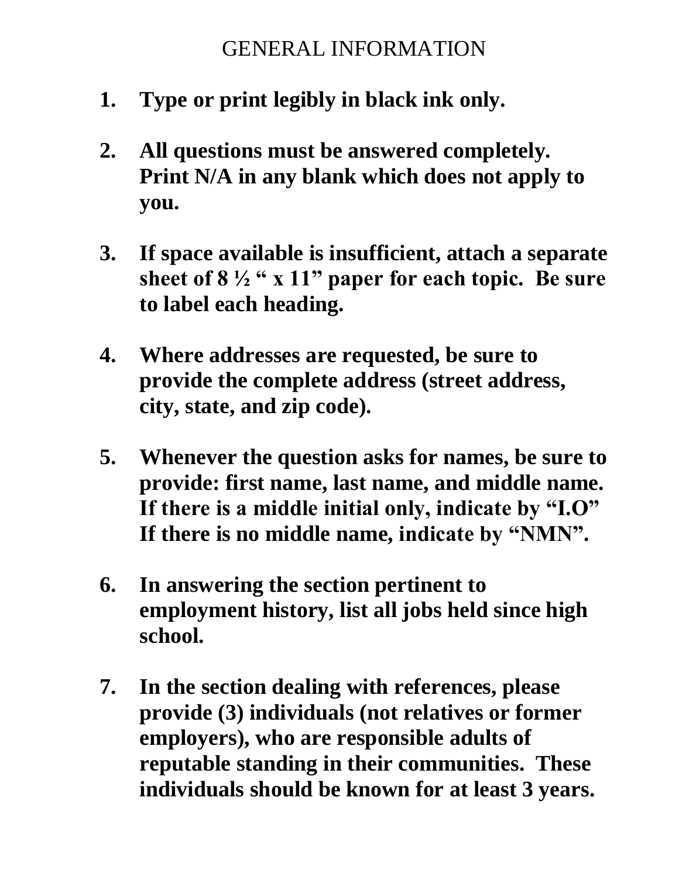### GENERAL INFORMATION

- **1. Type or print legibly in black ink only.**
- **2. All questions must be answered completely. Print N/A in any blank which does not apply to you.**
- **3. If space available is insufficient, attach a separate sheet of 8 ½ " x 11" paper for each topic. Be sure to label each heading.**
- **4. Where addresses are requested, be sure to provide the complete address (street address, city, state, and zip code).**
- **5. Whenever the question asks for names, be sure to provide: first name, last name, and middle name. If there is a middle initial only, indicate by "I.O" If there is no middle name, indicate by "NMN".**
- **6. In answering the section pertinent to employment history, list all jobs held since high school.**
- **7. In the section dealing with references, please provide (3) individuals (not relatives or former employers), who are responsible adults of reputable standing in their communities. These individuals should be known for at least 3 years.**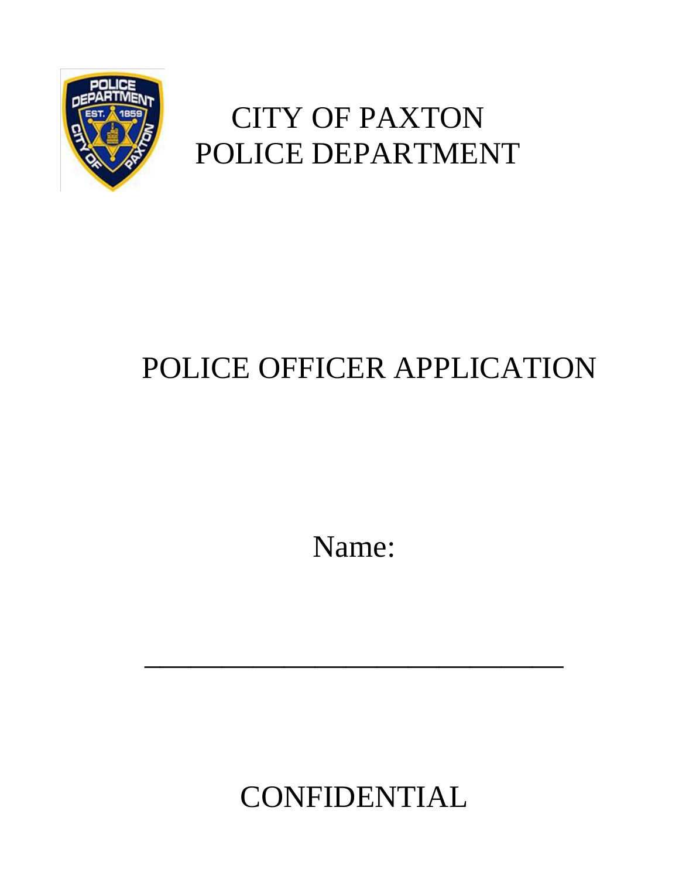

# CITY OF PAXTON POLICE DEPARTMENT

# POLICE OFFICER APPLICATION

Name:

\_\_\_\_\_\_\_\_\_\_\_\_\_\_\_\_\_\_\_\_\_\_\_\_\_\_\_

CONFIDENTIAL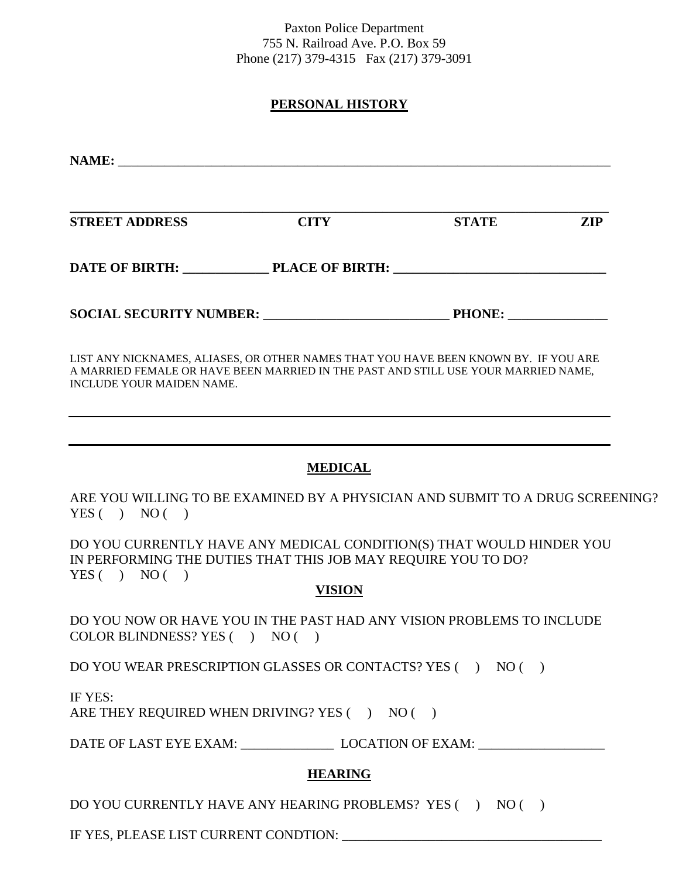Paxton Police Department 755 N. Railroad Ave. P.O. Box 59 Phone (217) 379-4315 Fax (217) 379-3091

#### **PERSONAL HISTORY**

| <b>STREET ADDRESS</b>                                                                                                                                                                                  | <b>CITY</b> | <b>STATE</b>  | <b>ZIP</b> |
|--------------------------------------------------------------------------------------------------------------------------------------------------------------------------------------------------------|-------------|---------------|------------|
|                                                                                                                                                                                                        |             |               |            |
| SOCIAL SECURITY NUMBER: NEXT AND THE SOCIAL SECURITY NUMBER:                                                                                                                                           |             | <b>PHONE:</b> |            |
| LIST ANY NICKNAMES, ALIASES, OR OTHER NAMES THAT YOU HAVE BEEN KNOWN BY. IF YOU ARE<br>A MARRIED FEMALE OR HAVE BEEN MARRIED IN THE PAST AND STILL USE YOUR MARRIED NAME,<br>INCLUDE YOUR MAIDEN NAME. |             |               |            |

#### **MEDICAL**

ARE YOU WILLING TO BE EXAMINED BY A PHYSICIAN AND SUBMIT TO A DRUG SCREENING?  $YES() NO()$ 

DO YOU CURRENTLY HAVE ANY MEDICAL CONDITION(S) THAT WOULD HINDER YOU IN PERFORMING THE DUTIES THAT THIS JOB MAY REQUIRE YOU TO DO?  $YES() NO()$ 

#### **VISION**

DO YOU NOW OR HAVE YOU IN THE PAST HAD ANY VISION PROBLEMS TO INCLUDE COLOR BLINDNESS? YES ( ) NO ( )

DO YOU WEAR PRESCRIPTION GLASSES OR CONTACTS? YES ( ) NO ( )

IF YES:

ARE THEY REQUIRED WHEN DRIVING? YES  $($   $)$  NO  $($   $)$ 

DATE OF LAST EYE EXAM: LOCATION OF EXAM:

#### **HEARING**

DO YOU CURRENTLY HAVE ANY HEARING PROBLEMS? YES ( ) NO ( )

IF YES, PLEASE LIST CURRENT CONDTION: \_\_\_\_\_\_\_\_\_\_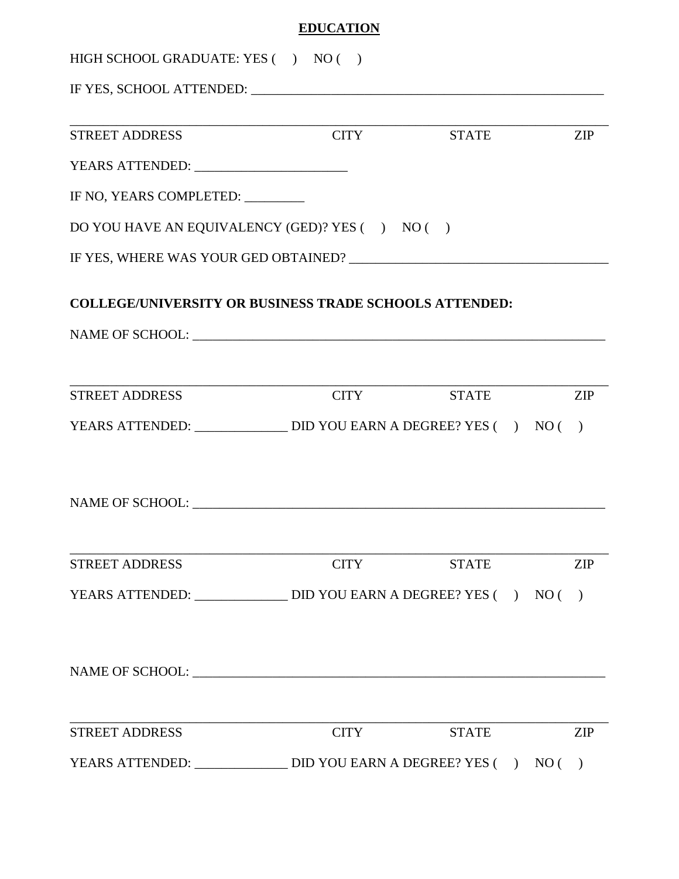#### **EDUCATION**

| HIGH SCHOOL GRADUATE: YES () NO () |                                                                                |              |               |
|------------------------------------|--------------------------------------------------------------------------------|--------------|---------------|
|                                    |                                                                                |              |               |
| <b>STREET ADDRESS</b>              | <b>CITY</b>                                                                    | <b>STATE</b> | <b>ZIP</b>    |
|                                    |                                                                                |              |               |
| IF NO, YEARS COMPLETED:            |                                                                                |              |               |
|                                    | DO YOU HAVE AN EQUIVALENCY (GED)? YES ( ) NO ( )                               |              |               |
|                                    |                                                                                |              |               |
|                                    | <b>COLLEGE/UNIVERSITY OR BUSINESS TRADE SCHOOLS ATTENDED:</b>                  |              |               |
|                                    |                                                                                |              |               |
|                                    |                                                                                |              |               |
| <b>STREET ADDRESS</b>              | <b>CITY</b>                                                                    | <b>STATE</b> | <b>ZIP</b>    |
|                                    | YEARS ATTENDED: ________________________ DID YOU EARN A DEGREE? YES ( ) NO ( ) |              |               |
|                                    |                                                                                |              |               |
|                                    |                                                                                |              |               |
|                                    |                                                                                |              |               |
| <b>STREET ADDRESS</b>              | <b>CITY</b>                                                                    | <b>STATE</b> | <b>ZIP</b>    |
|                                    |                                                                                |              | $\rightarrow$ |
|                                    |                                                                                |              |               |
|                                    |                                                                                |              |               |
|                                    |                                                                                |              |               |
| <b>STREET ADDRESS</b>              | <b>CITY</b>                                                                    | <b>STATE</b> | <b>ZIP</b>    |
|                                    | YEARS ATTENDED: _______________________ DID YOU EARN A DEGREE? YES ( ) NO ( )  |              |               |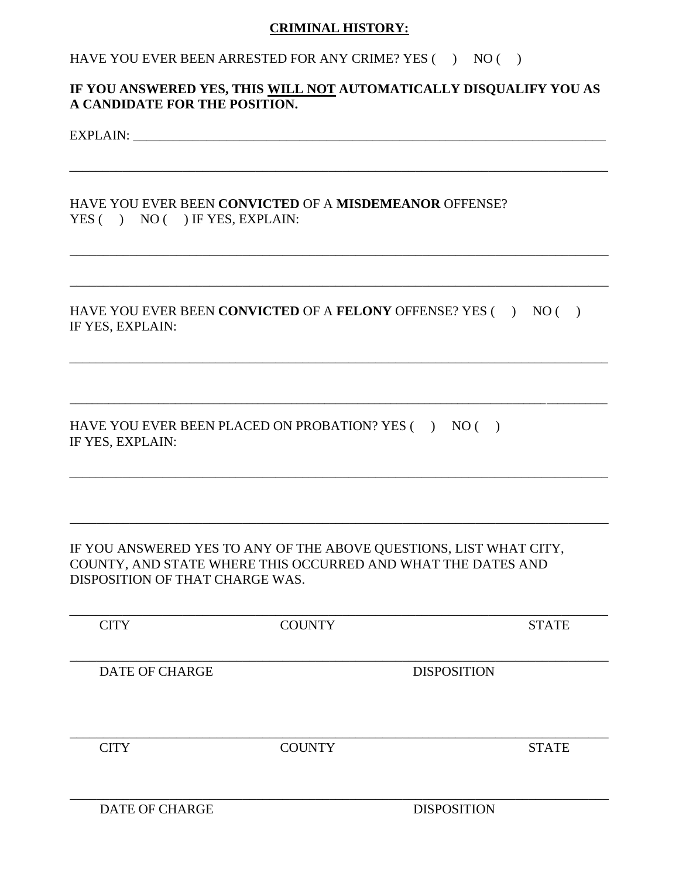#### **CRIMINAL HISTORY:**

#### HAVE YOU EVER BEEN ARRESTED FOR ANY CRIME? YES ( ) NO ( )

#### **IF YOU ANSWERED YES, THIS WILL NOT AUTOMATICALLY DISQUALIFY YOU AS A CANDIDATE FOR THE POSITION.**

\_\_\_\_\_\_\_\_\_\_\_\_\_\_\_\_\_\_\_\_\_\_\_\_\_\_\_\_\_\_\_\_\_\_\_\_\_\_\_\_\_\_\_\_\_\_\_\_\_\_\_\_\_\_\_\_\_\_\_\_\_\_\_\_\_\_\_\_\_\_\_\_\_\_\_\_\_\_\_\_\_

\_\_\_\_\_\_\_\_\_\_\_\_\_\_\_\_\_\_\_\_\_\_\_\_\_\_\_\_\_\_\_\_\_\_\_\_\_\_\_\_\_\_\_\_\_\_\_\_\_\_\_\_\_\_\_\_\_\_\_\_\_\_\_\_\_\_\_\_\_\_\_\_\_\_\_\_\_\_\_\_\_

\_\_\_\_\_\_\_\_\_\_\_\_\_\_\_\_\_\_\_\_\_\_\_\_\_\_\_\_\_\_\_\_\_\_\_\_\_\_\_\_\_\_\_\_\_\_\_\_\_\_\_\_\_\_\_\_\_\_\_\_\_\_\_\_\_\_\_\_\_\_\_\_\_\_\_\_\_\_\_\_\_

\_\_\_\_\_\_\_\_\_\_\_\_\_\_\_\_\_\_\_\_\_\_\_\_\_\_\_\_\_\_\_\_\_\_\_\_\_\_\_\_\_\_\_\_\_\_\_\_\_\_\_\_\_\_\_\_\_\_\_\_\_\_\_\_\_\_\_\_\_\_\_\_\_\_\_\_\_\_\_\_\_

\_\_\_\_\_\_\_\_\_\_\_\_\_\_\_\_\_\_\_\_\_\_\_\_\_\_\_\_\_\_\_\_\_\_\_\_\_\_\_\_\_\_\_\_\_\_\_\_\_\_\_\_\_\_\_\_\_\_\_\_\_\_\_\_\_\_\_\_\_\_\_\_\_\_\_\_\_\_\_\_\_\_\_\_\_\_\_\_\_\_\_\_\_\_\_\_\_

\_\_\_\_\_\_\_\_\_\_\_\_\_\_\_\_\_\_\_\_\_\_\_\_\_\_\_\_\_\_\_\_\_\_\_\_\_\_\_\_\_\_\_\_\_\_\_\_\_\_\_\_\_\_\_\_\_\_\_\_\_\_\_\_\_\_\_\_\_\_\_\_\_\_\_\_\_\_\_\_\_

\_\_\_\_\_\_\_\_\_\_\_\_\_\_\_\_\_\_\_\_\_\_\_\_\_\_\_\_\_\_\_\_\_\_\_\_\_\_\_\_\_\_\_\_\_\_\_\_\_\_\_\_\_\_\_\_\_\_\_\_\_\_\_\_\_\_\_\_\_\_\_\_\_\_\_\_\_\_\_\_\_

EXPLAIN: \_\_\_\_\_\_\_\_\_\_\_\_\_\_\_\_\_\_\_\_\_\_\_\_\_\_\_\_\_\_\_\_\_\_\_\_\_\_\_\_\_\_\_\_\_\_\_\_\_\_\_\_\_\_\_\_\_\_\_\_\_\_\_\_\_\_\_\_\_\_\_

#### HAVE YOU EVER BEEN **CONVICTED** OF A **MISDEMEANOR** OFFENSE? YES () NO () IF YES, EXPLAIN:

HAVE YOU EVER BEEN **CONVICTED** OF A **FELONY** OFFENSE? YES ( ) NO ( ) IF YES, EXPLAIN:

HAVE YOU EVER BEEN PLACED ON PROBATION? YES ( ) NO ( ) IF YES, EXPLAIN:

#### IF YOU ANSWERED YES TO ANY OF THE ABOVE QUESTIONS, LIST WHAT CITY, COUNTY, AND STATE WHERE THIS OCCURRED AND WHAT THE DATES AND DISPOSITION OF THAT CHARGE WAS.

| <b>CITY</b>           | <b>COUNTY</b> |                    | <b>STATE</b> |
|-----------------------|---------------|--------------------|--------------|
|                       |               |                    |              |
|                       |               |                    |              |
| <b>DATE OF CHARGE</b> |               | <b>DISPOSITION</b> |              |
|                       |               |                    |              |
|                       |               |                    |              |
| <b>CITY</b>           | <b>COUNTY</b> |                    | <b>STATE</b> |
|                       |               |                    |              |
|                       |               |                    |              |
| <b>DATE OF CHARGE</b> |               | <b>DISPOSITION</b> |              |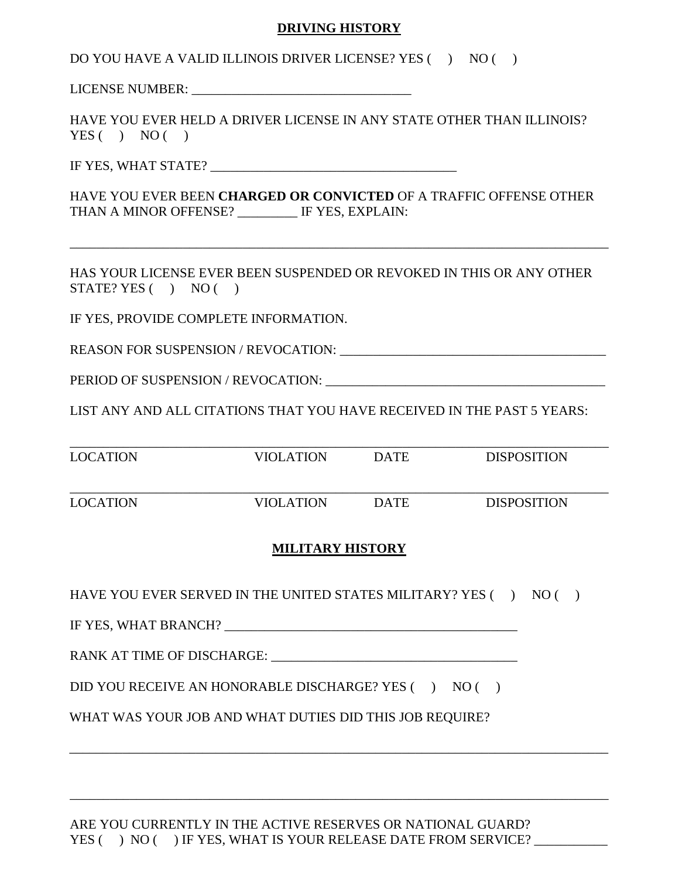#### **DRIVING HISTORY**

DO YOU HAVE A VALID ILLINOIS DRIVER LICENSE? YES ( ) NO ( )

LICENSE NUMBER: \_\_\_\_\_\_\_\_\_\_\_\_\_\_\_\_\_\_\_\_\_\_\_\_\_\_\_\_\_\_\_\_\_

HAVE YOU EVER HELD A DRIVER LICENSE IN ANY STATE OTHER THAN ILLINOIS?  $YES() NO()$ 

IF YES, WHAT STATE?

HAVE YOU EVER BEEN **CHARGED OR CONVICTED** OF A TRAFFIC OFFENSE OTHER THAN A MINOR OFFENSE? \_\_\_\_\_\_\_\_\_ IF YES, EXPLAIN:

\_\_\_\_\_\_\_\_\_\_\_\_\_\_\_\_\_\_\_\_\_\_\_\_\_\_\_\_\_\_\_\_\_\_\_\_\_\_\_\_\_\_\_\_\_\_\_\_\_\_\_\_\_\_\_\_\_\_\_\_\_\_\_\_\_\_\_\_\_\_\_\_\_\_\_\_\_\_\_\_\_

HAS YOUR LICENSE EVER BEEN SUSPENDED OR REVOKED IN THIS OR ANY OTHER  $STATE? **YES** ( ) **NO** ( )$ 

IF YES, PROVIDE COMPLETE INFORMATION.

REASON FOR SUSPENSION / REVOCATION:

PERIOD OF SUSPENSION / REVOCATION:

LIST ANY AND ALL CITATIONS THAT YOU HAVE RECEIVED IN THE PAST 5 YEARS:

| <b>LOCATION</b> | VIOLATION | <b>DATE</b> | <b>DISPOSITION</b> |
|-----------------|-----------|-------------|--------------------|
| <b>LOCATION</b> | VIOLATION | <b>DATE</b> | <b>DISPOSITION</b> |

#### **MILITARY HISTORY**

\_\_\_\_\_\_\_\_\_\_\_\_\_\_\_\_\_\_\_\_\_\_\_\_\_\_\_\_\_\_\_\_\_\_\_\_\_\_\_\_\_\_\_\_\_\_\_\_\_\_\_\_\_\_\_\_\_\_\_\_\_\_\_\_\_\_\_\_\_\_\_\_\_\_\_\_\_\_\_\_\_

\_\_\_\_\_\_\_\_\_\_\_\_\_\_\_\_\_\_\_\_\_\_\_\_\_\_\_\_\_\_\_\_\_\_\_\_\_\_\_\_\_\_\_\_\_\_\_\_\_\_\_\_\_\_\_\_\_\_\_\_\_\_\_\_\_\_\_\_\_\_\_\_\_\_\_\_\_\_\_\_\_

HAVE YOU EVER SERVED IN THE UNITED STATES MILITARY? YES  $( \ )$  NO  $( \ )$ 

IF YES, WHAT BRANCH? \_\_\_\_\_\_\_\_\_\_\_\_\_\_\_\_\_\_\_\_\_\_\_\_\_\_\_\_\_\_\_\_\_\_\_\_\_\_\_\_\_\_\_\_

RANK AT TIME OF DISCHARGE:

DID YOU RECEIVE AN HONORABLE DISCHARGE? YES ( ) NO ( )

WHAT WAS YOUR JOB AND WHAT DUTIES DID THIS JOB REQUIRE?

ARE YOU CURRENTLY IN THE ACTIVE RESERVES OR NATIONAL GUARD? YES ( ) NO ( ) IF YES, WHAT IS YOUR RELEASE DATE FROM SERVICE?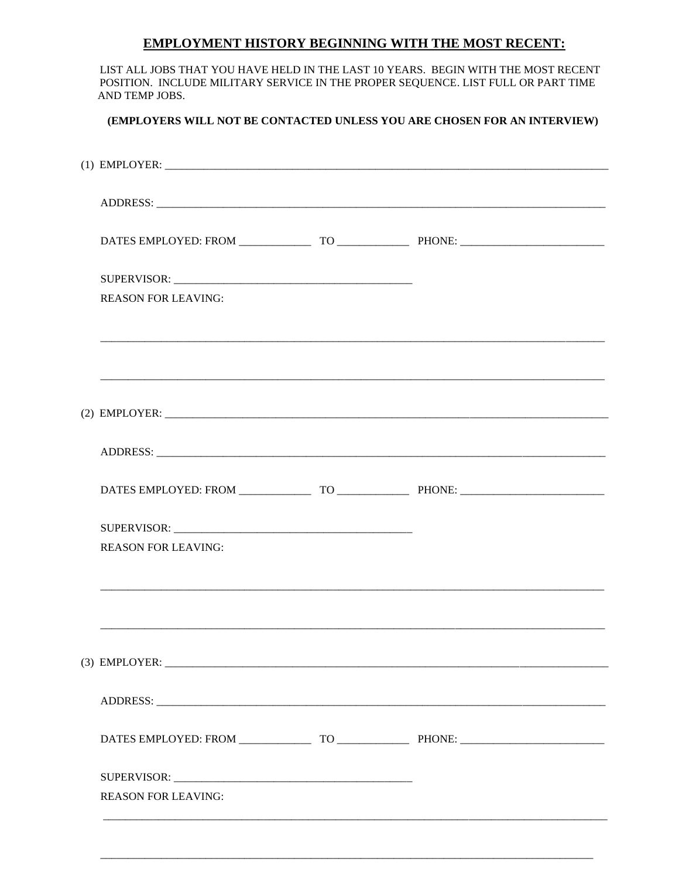#### **EMPLOYMENT HISTORY BEGINNING WITH THE MOST RECENT:**

| LIST ALL JOBS THAT YOU HAVE HELD IN THE LAST 10 YEARS. BEGIN WITH THE MOST RECENT<br>POSITION. INCLUDE MILITARY SERVICE IN THE PROPER SEQUENCE. LIST FULL OR PART TIME<br>AND TEMP JOBS. |  |  |
|------------------------------------------------------------------------------------------------------------------------------------------------------------------------------------------|--|--|
| (EMPLOYERS WILL NOT BE CONTACTED UNLESS YOU ARE CHOSEN FOR AN INTERVIEW)                                                                                                                 |  |  |
|                                                                                                                                                                                          |  |  |
|                                                                                                                                                                                          |  |  |
|                                                                                                                                                                                          |  |  |
| <b>REASON FOR LEAVING:</b>                                                                                                                                                               |  |  |
|                                                                                                                                                                                          |  |  |
| <u> 1989 - Johann Barbara, martxa alemaniar argametar (h. 1989).</u>                                                                                                                     |  |  |
|                                                                                                                                                                                          |  |  |
|                                                                                                                                                                                          |  |  |
| <b>REASON FOR LEAVING:</b>                                                                                                                                                               |  |  |
|                                                                                                                                                                                          |  |  |
|                                                                                                                                                                                          |  |  |
|                                                                                                                                                                                          |  |  |
|                                                                                                                                                                                          |  |  |
| <b>REASON FOR LEAVING:</b>                                                                                                                                                               |  |  |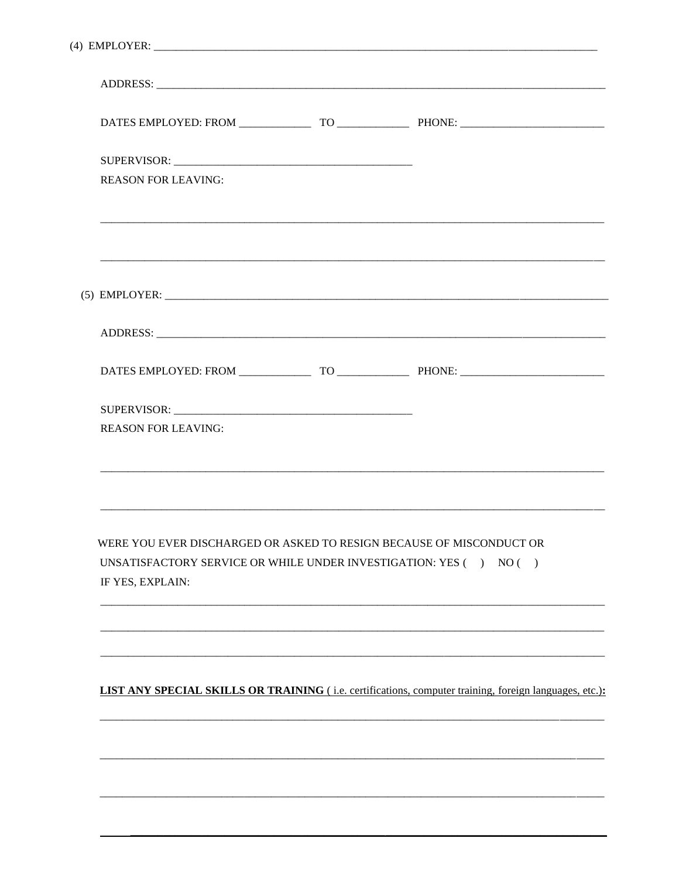| $(4)$ EMPLOYER: $\overline{\phantom{a}}$                                                                                                                                          |                                                                                                        |
|-----------------------------------------------------------------------------------------------------------------------------------------------------------------------------------|--------------------------------------------------------------------------------------------------------|
|                                                                                                                                                                                   |                                                                                                        |
|                                                                                                                                                                                   |                                                                                                        |
|                                                                                                                                                                                   |                                                                                                        |
| <b>REASON FOR LEAVING:</b>                                                                                                                                                        |                                                                                                        |
|                                                                                                                                                                                   |                                                                                                        |
|                                                                                                                                                                                   |                                                                                                        |
|                                                                                                                                                                                   |                                                                                                        |
|                                                                                                                                                                                   |                                                                                                        |
|                                                                                                                                                                                   |                                                                                                        |
| <b>REASON FOR LEAVING:</b>                                                                                                                                                        |                                                                                                        |
| WERE YOU EVER DISCHARGED OR ASKED TO RESIGN BECAUSE OF MISCONDUCT OR<br>UNSATISFACTORY SERVICE OR WHILE UNDER INVESTIGATION: YES $(+) \quad \text{NO} \, (-)$<br>IF YES, EXPLAIN: |                                                                                                        |
|                                                                                                                                                                                   |                                                                                                        |
|                                                                                                                                                                                   | LIST ANY SPECIAL SKILLS OR TRAINING (i.e. certifications, computer training, foreign languages, etc.): |
|                                                                                                                                                                                   |                                                                                                        |
|                                                                                                                                                                                   |                                                                                                        |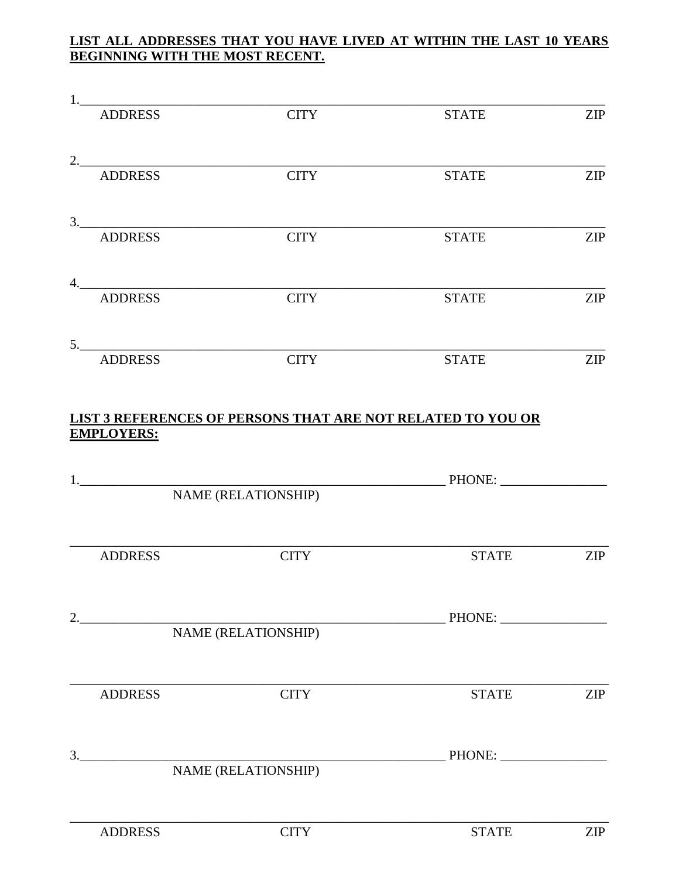#### LIST ALL ADDRESSES THAT YOU HAVE LIVED AT WITHIN THE LAST 10 YEARS **BEGINNING WITH THE MOST RECENT.**

|    | <b>ADDRESS</b>    | <b>CITY</b>                                                        | <b>STATE</b>  | <b>ZIP</b> |
|----|-------------------|--------------------------------------------------------------------|---------------|------------|
|    |                   | 2.                                                                 |               |            |
|    | <b>ADDRESS</b>    | <b>CITY</b>                                                        | <b>STATE</b>  | <b>ZIP</b> |
|    |                   | 3. ADDRESS                                                         |               |            |
|    |                   | $\overline{\text{CITY}}$                                           | <b>STATE</b>  | <b>ZIP</b> |
|    | <b>ADDRESS</b>    | 4.<br><b>CITY</b>                                                  | <b>STATE</b>  | <b>ZIP</b> |
|    |                   | 5.                                                                 |               |            |
|    | <b>ADDRESS</b>    | <b>CITY</b>                                                        | <b>STATE</b>  | <b>ZIP</b> |
|    | <b>EMPLOYERS:</b> | <b>LIST 3 REFERENCES OF PERSONS THAT ARE NOT RELATED TO YOU OR</b> |               |            |
|    |                   |                                                                    |               |            |
|    |                   | NAME (RELATIONSHIP)                                                | <b>PHONE:</b> |            |
|    |                   |                                                                    |               |            |
|    | <b>ADDRESS</b>    | <b>CITY</b>                                                        | <b>STATE</b>  | <b>ZIP</b> |
| 2. |                   |                                                                    |               |            |
|    |                   | NAME (RELATIONSHIP)                                                |               |            |
|    | <b>ADDRESS</b>    | <b>CITY</b>                                                        | <b>STATE</b>  | <b>ZIP</b> |
|    | 3.                |                                                                    |               |            |
|    |                   | NAME (RELATIONSHIP)                                                |               |            |
|    | <b>ADDRESS</b>    | <b>CITY</b>                                                        | <b>STATE</b>  | <b>ZIP</b> |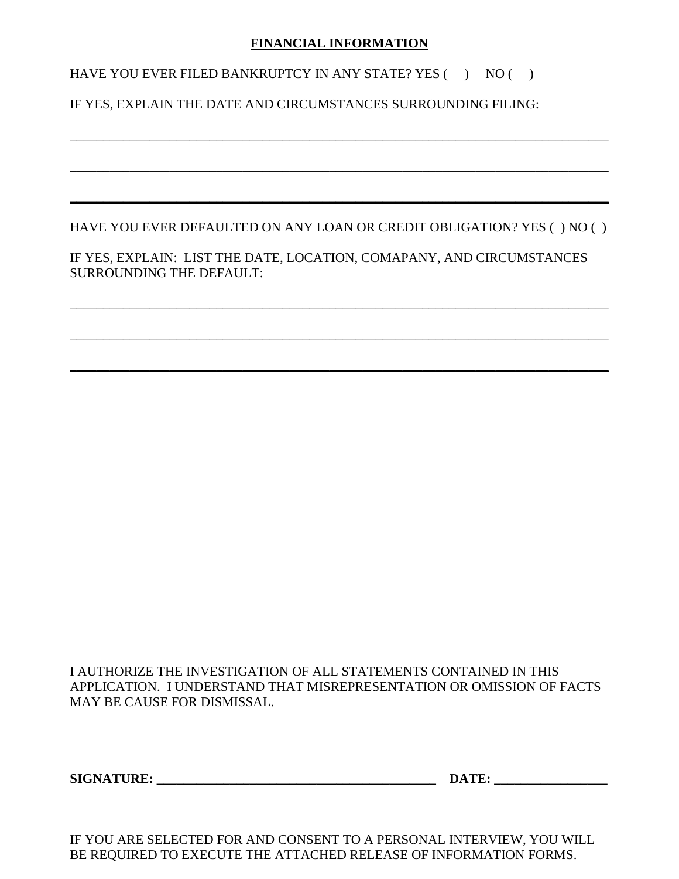#### **FINANCIAL INFORMATION**

HAVE YOU EVER FILED BANKRUPTCY IN ANY STATE? YES  $( \ )$  NO  $( \ )$ 

#### IF YES, EXPLAIN THE DATE AND CIRCUMSTANCES SURROUNDING FILING:

HAVE YOU EVER DEFAULTED ON ANY LOAN OR CREDIT OBLIGATION? YES ( ) NO ( )

\_\_\_\_\_\_\_\_\_\_\_\_\_\_\_\_\_\_\_\_\_\_\_\_\_\_\_\_\_\_\_\_\_\_\_\_\_\_\_\_\_\_\_\_\_\_\_\_\_\_\_\_\_\_\_\_\_\_\_\_\_\_\_\_\_\_\_\_\_\_\_\_\_\_\_\_\_\_\_\_\_

\_\_\_\_\_\_\_\_\_\_\_\_\_\_\_\_\_\_\_\_\_\_\_\_\_\_\_\_\_\_\_\_\_\_\_\_\_\_\_\_\_\_\_\_\_\_\_\_\_\_\_\_\_\_\_\_\_\_\_\_\_\_\_\_\_\_\_\_\_\_\_\_\_\_\_\_\_\_\_\_\_

**\_\_\_\_\_\_\_\_\_\_\_\_\_\_\_\_\_\_\_\_\_\_\_\_\_\_\_\_\_\_\_\_\_\_\_\_\_\_\_\_\_\_\_\_\_\_\_\_\_\_\_\_\_\_\_\_\_\_\_\_\_\_\_\_\_\_\_\_\_\_\_\_\_\_\_\_\_\_\_\_\_**

\_\_\_\_\_\_\_\_\_\_\_\_\_\_\_\_\_\_\_\_\_\_\_\_\_\_\_\_\_\_\_\_\_\_\_\_\_\_\_\_\_\_\_\_\_\_\_\_\_\_\_\_\_\_\_\_\_\_\_\_\_\_\_\_\_\_\_\_\_\_\_\_\_\_\_\_\_\_\_\_\_

\_\_\_\_\_\_\_\_\_\_\_\_\_\_\_\_\_\_\_\_\_\_\_\_\_\_\_\_\_\_\_\_\_\_\_\_\_\_\_\_\_\_\_\_\_\_\_\_\_\_\_\_\_\_\_\_\_\_\_\_\_\_\_\_\_\_\_\_\_\_\_\_\_\_\_\_\_\_\_\_\_

**\_\_\_\_\_\_\_\_\_\_\_\_\_\_\_\_\_\_\_\_\_\_\_\_\_\_\_\_\_\_\_\_\_\_\_\_\_\_\_\_\_\_\_\_\_\_\_\_\_\_\_\_\_\_\_\_\_\_\_\_\_\_\_\_\_\_\_\_\_\_\_\_\_\_\_\_\_\_\_\_\_**

IF YES, EXPLAIN: LIST THE DATE, LOCATION, COMAPANY, AND CIRCUMSTANCES SURROUNDING THE DEFAULT:

I AUTHORIZE THE INVESTIGATION OF ALL STATEMENTS CONTAINED IN THIS APPLICATION. I UNDERSTAND THAT MISREPRESENTATION OR OMISSION OF FACTS MAY BE CAUSE FOR DISMISSAL.

**SIGNATURE: \_\_\_\_\_\_\_\_\_\_\_\_\_\_\_\_\_\_\_\_\_\_\_\_\_\_\_\_\_\_\_\_\_\_\_\_\_\_\_\_\_\_ DATE: \_\_\_\_\_\_\_\_\_\_\_\_\_\_\_\_\_**

IF YOU ARE SELECTED FOR AND CONSENT TO A PERSONAL INTERVIEW, YOU WILL BE REQUIRED TO EXECUTE THE ATTACHED RELEASE OF INFORMATION FORMS.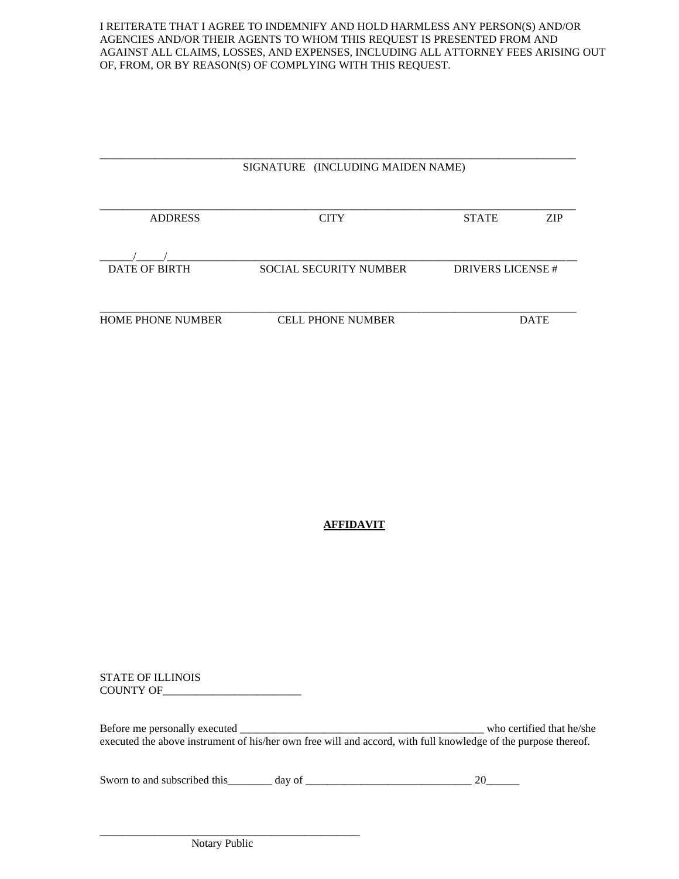I REITERATE THAT I AGREE TO INDEMNIFY AND HOLD HARMLESS ANY PERSON(S) AND/OR AGENCIES AND/OR THEIR AGENTS TO WHOM THIS REQUEST IS PRESENTED FROM AND AGAINST ALL CLAIMS, LOSSES, AND EXPENSES, INCLUDING ALL ATTORNEY FEES ARISING OUT OF, FROM, OR BY REASON(S) OF COMPLYING WITH THIS REQUEST.

|                          | SIGNATURE (INCLUDING MAIDEN NAME) |                  |             |
|--------------------------|-----------------------------------|------------------|-------------|
| <b>ADDRESS</b>           | <b>CITY</b>                       | <b>STATE</b>     | <b>ZIP</b>  |
|                          |                                   |                  |             |
| <b>DATE OF BIRTH</b>     | <b>SOCIAL SECURITY NUMBER</b>     | DRIVERS LICENSE# |             |
| <b>HOME PHONE NUMBER</b> | <b>CELL PHONE NUMBER</b>          |                  | <b>DATE</b> |

#### **AFFIDAVIT**

STATE OF ILLINOIS COUNTY OF\_\_\_\_\_\_\_\_\_\_\_\_\_\_\_\_\_\_\_\_\_\_\_\_\_

Before me personally executed \_\_\_\_\_\_\_\_\_\_\_\_\_\_\_\_\_\_\_\_\_\_\_\_\_\_\_\_\_\_\_\_\_\_\_\_\_\_\_\_\_\_\_\_ who certified that he/she executed the above instrument of his/her own free will and accord, with full knowledge of the purpose thereof.

Sworn to and subscribed this  $\frac{1}{2}$  day of  $\frac{1}{2}$  day of  $\frac{1}{2}$   $\frac{1}{2}$   $\frac{1}{2}$   $\frac{1}{2}$   $\frac{1}{2}$   $\frac{1}{2}$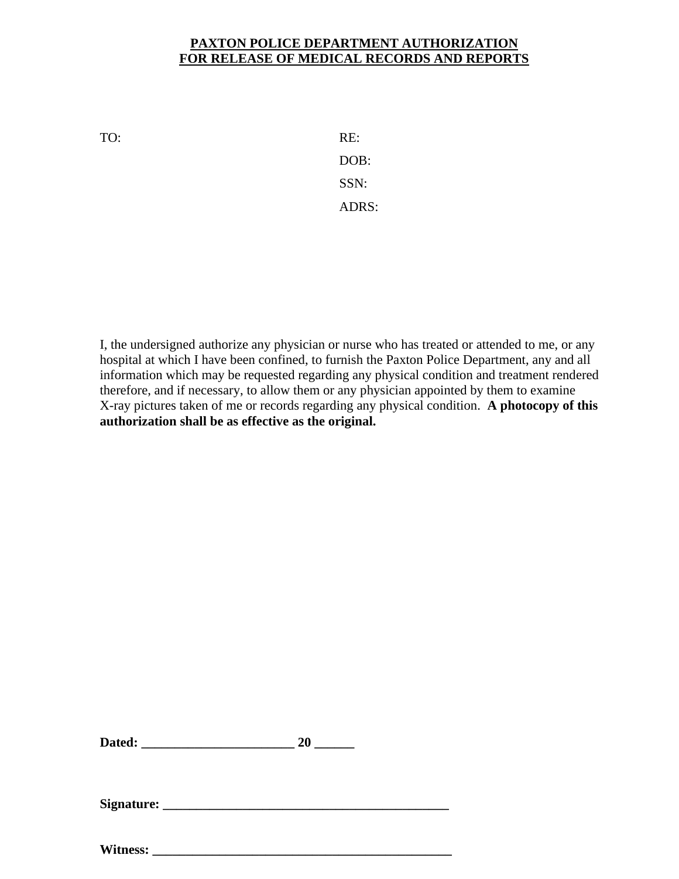#### **PAXTON POLICE DEPARTMENT AUTHORIZATION FOR RELEASE OF MEDICAL RECORDS AND REPORTS**

TO: RE:

DOB: SSN: ADRS:

I, the undersigned authorize any physician or nurse who has treated or attended to me, or any hospital at which I have been confined, to furnish the Paxton Police Department, any and all information which may be requested regarding any physical condition and treatment rendered therefore, and if necessary, to allow them or any physician appointed by them to examine X-ray pictures taken of me or records regarding any physical condition. **A photocopy of this authorization shall be as effective as the original.** 

| Dated: |  |
|--------|--|
|        |  |

**Signature: \_\_\_\_\_\_\_\_\_\_\_\_\_\_\_\_\_\_\_\_\_\_\_\_\_\_\_\_\_\_\_\_\_\_\_\_\_\_\_\_\_\_\_**

Witness: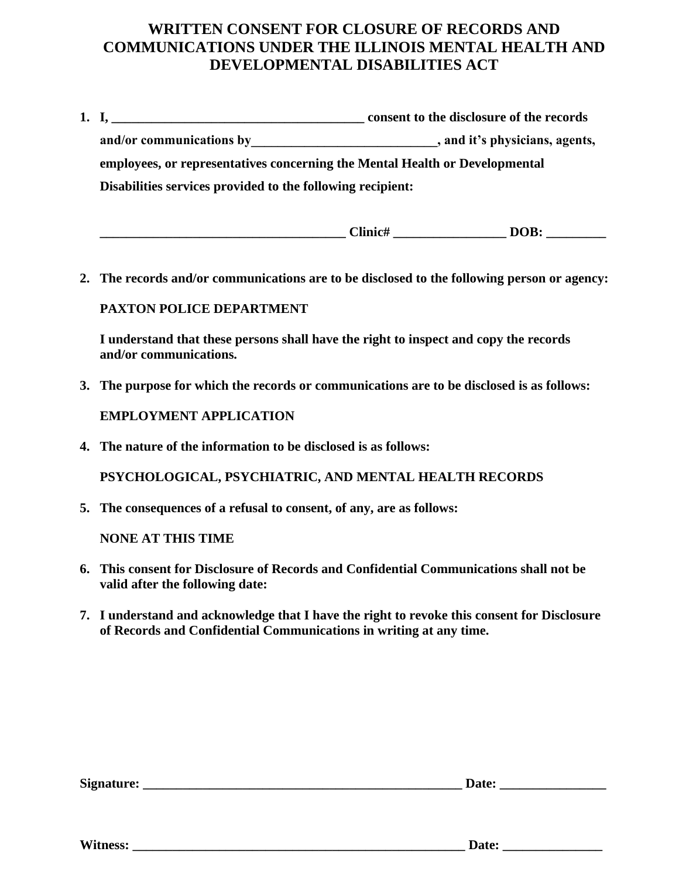#### **WRITTEN CONSENT FOR CLOSURE OF RECORDS AND COMMUNICATIONS UNDER THE ILLINOIS MENTAL HEALTH AND DEVELOPMENTAL DISABILITIES ACT**

| 1. I, $\blacksquare$                                                        | consent to the disclosure of the records |
|-----------------------------------------------------------------------------|------------------------------------------|
| and/or communications by                                                    | , and it's physicians, agents,           |
| employees, or representatives concerning the Mental Health or Developmental |                                          |
| Disabilities services provided to the following recipient:                  |                                          |

| $\sim$ $\sim$<br>-linic# | DOR<br>-<br>- |
|--------------------------|---------------|
|                          |               |

**2. The records and/or communications are to be disclosed to the following person or agency:** 

#### **PAXTON POLICE DEPARTMENT**

**I understand that these persons shall have the right to inspect and copy the records and/or communications.**

**3. The purpose for which the records or communications are to be disclosed is as follows:**

#### **EMPLOYMENT APPLICATION**

**4. The nature of the information to be disclosed is as follows:**

**PSYCHOLOGICAL, PSYCHIATRIC, AND MENTAL HEALTH RECORDS**

**5. The consequences of a refusal to consent, of any, are as follows:**

**NONE AT THIS TIME**

- **6. This consent for Disclosure of Records and Confidential Communications shall not be valid after the following date:**
- **7. I understand and acknowledge that I have the right to revoke this consent for Disclosure of Records and Confidential Communications in writing at any time.**

| Signature: |
|------------|
|------------|

**Signature: \_\_\_\_\_\_\_\_\_\_\_\_\_\_\_\_\_\_\_\_\_\_\_\_\_\_\_\_\_\_\_\_\_\_\_\_\_\_\_\_\_\_\_\_\_\_\_\_ Date: \_\_\_\_\_\_\_\_\_\_\_\_\_\_\_\_**

**Witness: \_\_\_\_\_\_\_\_\_\_\_\_\_\_\_\_\_\_\_\_\_\_\_\_\_\_\_\_\_\_\_\_\_\_\_\_\_\_\_\_\_\_\_\_\_\_\_\_\_\_ Date: \_\_\_\_\_\_\_\_\_\_\_\_\_\_\_**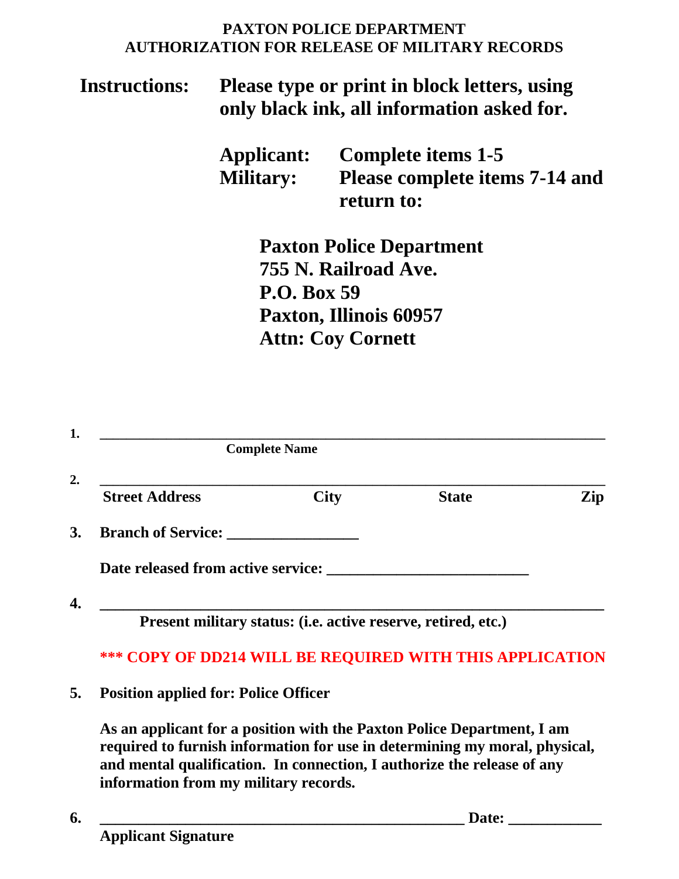#### **PAXTON POLICE DEPARTMENT AUTHORIZATION FOR RELEASE OF MILITARY RECORDS**

### **Instructions: Please type or print in block letters, using only black ink, all information asked for.**

|                  | <b>Applicant:</b> Complete items 1-5 |
|------------------|--------------------------------------|
| <b>Military:</b> | Please complete items 7-14 and       |
|                  | return to:                           |

**Paxton Police Department 755 N. Railroad Ave. P.O. Box 59 Paxton, Illinois 60957 Attn: Coy Cornett**

|                                                                 | <b>Complete Name</b>                                          |              |     |
|-----------------------------------------------------------------|---------------------------------------------------------------|--------------|-----|
| <b>Street Address</b>                                           | <b>City</b>                                                   | <b>State</b> | Zip |
| <b>Branch of Service:</b>                                       |                                                               |              |     |
| Date released from active service:                              |                                                               |              |     |
|                                                                 | Present military status: (i.e. active reserve, retired, etc.) |              |     |
| <b>*** COPY OF DD214 WILL BE REQUIRED WITH THIS APPLICATION</b> |                                                               |              |     |
| <b>Position applied for: Police Officer</b>                     |                                                               |              |     |

**As an applicant for a position with the Paxton Police Department, I am required to furnish information for use in determining my moral, physical, and mental qualification. In connection, I authorize the release of any information from my military records.**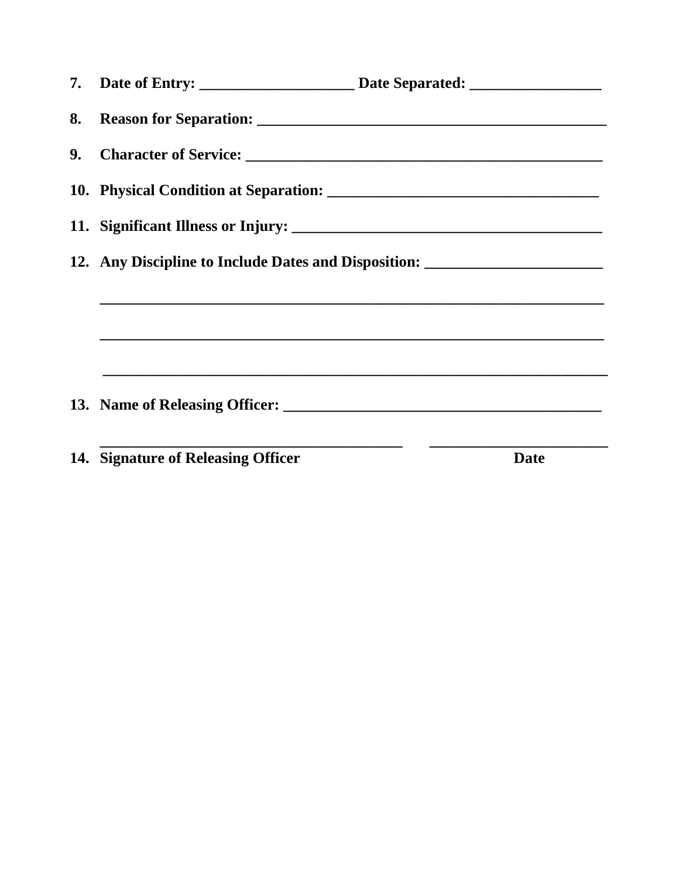|                                    | 12. Any Discipline to Include Dates and Disposition: ___________________________                                                                                     |
|------------------------------------|----------------------------------------------------------------------------------------------------------------------------------------------------------------------|
|                                    | ,我们也不能在这里的时候,我们也不能会在这里,我们也不能会在这里的时候,我们也不能会在这里的时候,我们也不能会在这里的时候,我们也不能会在这里的时候,我们也不能                                                                                     |
|                                    | ,我们也不能会在这里,我们的人们也不能会在这里,我们也不能会在这里,我们也不能会在这里,我们也不能会在这里,我们也不能会在这里,我们也不能会不能会不能会。""我<br>第115章 我们的人们,我们的人们的人们,我们的人们的人们,我们的人们的人们的人们,我们的人们的人们,我们的人们的人们,我们的人们的人们,我们的人们的人们,我们 |
|                                    |                                                                                                                                                                      |
|                                    |                                                                                                                                                                      |
|                                    |                                                                                                                                                                      |
| 14. Signature of Releasing Officer | <b>Date</b>                                                                                                                                                          |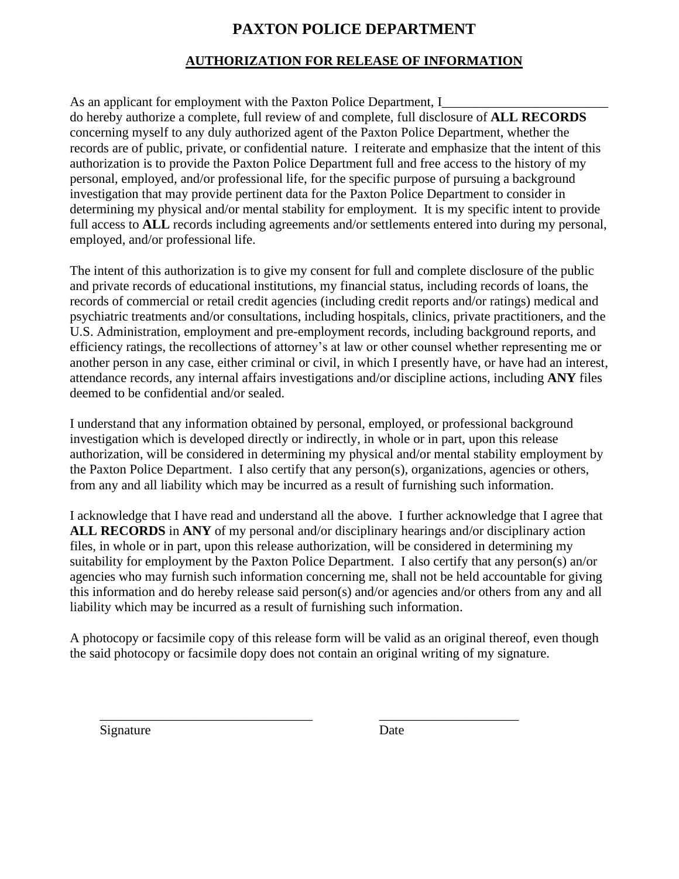#### **PAXTON POLICE DEPARTMENT**

#### **AUTHORIZATION FOR RELEASE OF INFORMATION**

As an applicant for employment with the Paxton Police Department, I do hereby authorize a complete, full review of and complete, full disclosure of **ALL RECORDS**  concerning myself to any duly authorized agent of the Paxton Police Department, whether the records are of public, private, or confidential nature. I reiterate and emphasize that the intent of this authorization is to provide the Paxton Police Department full and free access to the history of my personal, employed, and/or professional life, for the specific purpose of pursuing a background investigation that may provide pertinent data for the Paxton Police Department to consider in determining my physical and/or mental stability for employment. It is my specific intent to provide full access to **ALL** records including agreements and/or settlements entered into during my personal, employed, and/or professional life.

The intent of this authorization is to give my consent for full and complete disclosure of the public and private records of educational institutions, my financial status, including records of loans, the records of commercial or retail credit agencies (including credit reports and/or ratings) medical and psychiatric treatments and/or consultations, including hospitals, clinics, private practitioners, and the U.S. Administration, employment and pre-employment records, including background reports, and efficiency ratings, the recollections of attorney's at law or other counsel whether representing me or another person in any case, either criminal or civil, in which I presently have, or have had an interest, attendance records, any internal affairs investigations and/or discipline actions, including **ANY** files deemed to be confidential and/or sealed.

I understand that any information obtained by personal, employed, or professional background investigation which is developed directly or indirectly, in whole or in part, upon this release authorization, will be considered in determining my physical and/or mental stability employment by the Paxton Police Department. I also certify that any person(s), organizations, agencies or others, from any and all liability which may be incurred as a result of furnishing such information.

I acknowledge that I have read and understand all the above. I further acknowledge that I agree that **ALL RECORDS** in **ANY** of my personal and/or disciplinary hearings and/or disciplinary action files, in whole or in part, upon this release authorization, will be considered in determining my suitability for employment by the Paxton Police Department. I also certify that any person(s) an/or agencies who may furnish such information concerning me, shall not be held accountable for giving this information and do hereby release said person(s) and/or agencies and/or others from any and all liability which may be incurred as a result of furnishing such information.

A photocopy or facsimile copy of this release form will be valid as an original thereof, even though the said photocopy or facsimile dopy does not contain an original writing of my signature.

\_\_\_\_\_\_\_\_\_\_\_\_\_\_\_\_\_\_\_\_\_\_\_\_\_\_\_\_\_\_\_\_ \_\_\_\_\_\_\_\_\_\_\_\_\_\_\_\_\_\_\_\_\_

Signature Date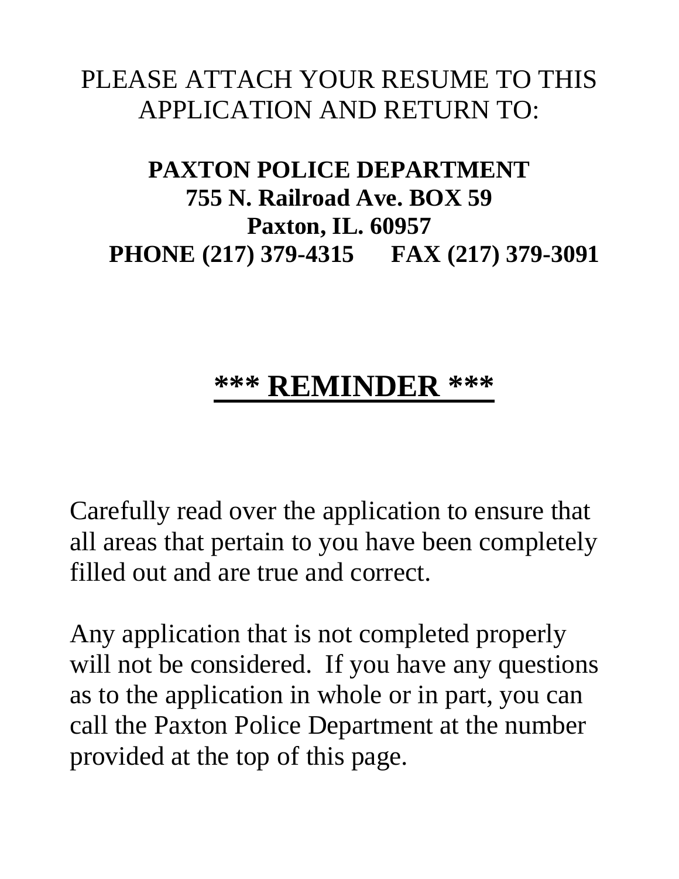### PLEASE ATTACH YOUR RESUME TO THIS APPLICATION AND RETURN TO:

### **PAXTON POLICE DEPARTMENT 755 N. Railroad Ave. BOX 59 Paxton, IL. 60957 PHONE (217) 379-4315 FAX (217) 379-3091**

## **\*\*\* REMINDER \*\*\***

Carefully read over the application to ensure that all areas that pertain to you have been completely filled out and are true and correct.

Any application that is not completed properly will not be considered. If you have any questions as to the application in whole or in part, you can call the Paxton Police Department at the number provided at the top of this page.